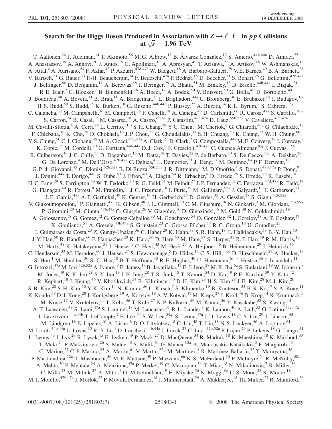## <span id="page-0-0"></span>Search for the Higgs Boson Produced in Association with  $Z \rightarrow \ell^+\ell^-$  in  $p\bar{p}$  Collisions at  $\sqrt{s}$  = 1.96 TeV

T. Aaltonen,<sup>24</sup> J. Adelman,<sup>14</sup> T. Akimoto,<sup>56</sup> M. G. Albrow,<sup>18</sup> B. Álvarez González,<sup>12</sup> S. Amerio,<sup>44b,44a</sup> D. Amidei,<sup>35</sup> A. Anastassov,<sup>39</sup> A. Annovi,<sup>20</sup> J. Antos,<sup>15</sup> G. Apollinari,<sup>18</sup> A. Apresyan,<sup>49</sup> T. Arisawa,<sup>58</sup> A. Artikov,<sup>16</sup> W. Ashmanskas,<sup>18</sup> A. Attal,<sup>4</sup> A. Aurisano,<sup>54</sup> F. Azfar,<sup>43</sup> P. Azzurri,<sup>47d,47a</sup> W. Badgett,<sup>18</sup> A. Barbaro-Galtieri,<sup>29</sup> V. E. Barnes,<sup>49</sup> B. A. Barnett,<sup>26</sup> V. Bartsch,<sup>31</sup> G. Bauer,<sup>33</sup> P.-H. Beauchemin,<sup>34</sup> F. Bedeschi,<sup>47a</sup> P. Bednar,<sup>15</sup> D. Beecher,<sup>31</sup> S. Behari,<sup>26</sup> G. Bellettini,<sup>47b,47a</sup> J. Bellinger,<sup>60</sup> D. Benjamin,<sup>17</sup> A. Beretvas,<sup>18</sup> J. Beringer,<sup>29</sup> A. Bhatti,<sup>51</sup> M. Binkley,<sup>18</sup> D. Bisello,<sup>44b,44a</sup> I. Bizjak,<sup>31</sup> R. E. Blair,<sup>2</sup> C. Blocker,<sup>7</sup> B. Blumenfeld,<sup>26</sup> A. Bocci,<sup>17</sup> A. Bodek,<sup>50</sup> V. Boisvert,<sup>50</sup> G. Bolla,<sup>49</sup> D. Bortoletto,<sup>49</sup> J. Boudreau,<sup>48</sup> A. Boveia,<sup>11</sup> B. Brau,<sup>11</sup> A. Bridgeman,<sup>25</sup> L. Brigliadori,<sup>44a</sup> C. Bromberg,<sup>36</sup> E. Brubaker,<sup>14</sup> J. Budagov,<sup>16</sup> H. S. Budd,<sup>50</sup> S. Budd,<sup>25</sup> K. Burkett,<sup>18</sup> G. Busetto,<sup>44b,44a</sup> P. Bussey,<sup>22</sup> A. Buzatu,<sup>34</sup> K. L. Byrum,<sup>2</sup> S. Cabrera,<sup>17[,q](#page-6-0)</sup> C. Calancha,<sup>32</sup> M. Campanelli,<sup>36</sup> M. Campbell,<sup>35</sup> F. Canelli,<sup>18</sup> A. Canepa,<sup>46</sup> D. Carlsmith,<sup>60</sup> R. Carosi,<sup>47a</sup> S. Carrillo,<sup>19[,k](#page-5-0)</sup> S. Carron,<sup>34</sup> B. Casal,<sup>12</sup> M. Casarsa,<sup>18</sup> A. Castro,<sup>6b,6a</sup> P. Catastini,<sup>47c,47a</sup> D. Cauz,<sup>55b,55a</sup> V. Cavaliere,<sup>47c,47a</sup> M. Cavalli-Sforza,<sup>4</sup> A. Cerri,<sup>29</sup> L. Cerrito,<sup>31[,o](#page-5-0)</sup> S. H. Chang,<sup>28</sup> Y. C. Chen,<sup>1</sup> M. Chertok,<sup>8</sup> G. Chiarelli,<sup>47a</sup> G. Chlachidze,<sup>18</sup> F. Chlebana,<sup>18</sup> K. Cho,<sup>28</sup> D. Chokheli,<sup>16</sup> J. P. Chou,<sup>23</sup> G. Choudalakis,<sup>33</sup> S. H. Chuang,<sup>53</sup> K. Chung,<sup>13</sup> W. H. Chung,<sup>60</sup> Y. S. Chung, <sup>50</sup> C. I. Ciobanu, <sup>45</sup> M. A. Ciocci, <sup>47c, 47a</sup> A. Clark, <sup>21</sup> D. Clark, <sup>7</sup> G. Compostella, <sup>44a</sup> M. E. Convery, <sup>18</sup> J. Conway, <sup>8</sup> K. Copic,<sup>35</sup> M. Cordelli,<sup>20</sup> G. Cortiana,<sup>44b,44a</sup> D. J. Cox,<sup>8</sup> F. Crescioli,<sup>47b,47a</sup> C. Cuenca Almenar,<sup>8[,q](#page-6-0)</sup> J. Cuevas,<sup>12,[n](#page-5-0)</sup> R. Culbertson,<sup>18</sup> J. C. Cully,<sup>35</sup> D. Dagenhart,<sup>18</sup> M. Datta,<sup>18</sup> T. Davies,<sup>22</sup> P. de Barbaro,<sup>50</sup> S. De Cecco,<sup>52a</sup> A. Deisher,<sup>29</sup> G. De Lorenzo,<sup>4</sup> M. Dell'Orso,<sup>47b,47a</sup> C. Deluca,<sup>4</sup> L. Demortier,<sup>51</sup> J. Deng,<sup>17</sup> M. Deninno,<sup>6a</sup> P. F. Derwent,<sup>18</sup> G. P. di Giovanni,<sup>45</sup> C. Dionisi,<sup>52b,52a</sup> B. Di Ruzza,<sup>55b,55a</sup> J. R. Dittmann,<sup>5</sup> M. D'Onofrio,<sup>4</sup> S. Donati,<sup>47b,47a</sup> P. Dong,<sup>9</sup> J. Donini,<sup>44a</sup> T. Dorigo,<sup>44a</sup> S. Dube,<sup>53</sup> J. Efron,<sup>40</sup> A. Elagin,<sup>54</sup> R. Erbacher,<sup>8</sup> D. Errede,<sup>25</sup> S. Errede,<sup>25</sup> R. Eusebi,<sup>18</sup> H. C. Fang,<sup>29</sup> S. Farrington,<sup>43</sup> W. T. Fedorko,<sup>14</sup> R. G. Feild,<sup>61</sup> M. Feindt,<sup>27</sup> J. P. Fernandez,<sup>32</sup> C. Ferrazza,<sup>47d,47a</sup> R. Field,<sup>19</sup> G. Flanagan,<sup>49</sup> R. Forrest,<sup>8</sup> M. Franklin,<sup>23</sup> J. C. Freeman,<sup>18</sup> I. Furic,<sup>19</sup> M. Gallinaro,<sup>52a</sup> J. Galyardt,<sup>13</sup> F. Garberson,<sup>11</sup> J. E. Garcia,<sup>47a</sup> A. F. Garfinkel,<sup>49</sup> K. Genser,<sup>18</sup> H. Gerberich,<sup>25</sup> D. Gerdes,<sup>35</sup> A. Gessler,<sup>27</sup> S. Giagu,<sup>52b,52a</sup> V. Giakoumopoulou,<sup>3</sup> P. Giannetti,<sup>47a</sup> K. Gibson,<sup>48</sup> J.L. Gimmell,<sup>50</sup> C.M. Ginsburg,<sup>18</sup> N. Giokaris,<sup>3</sup> M. Giordani,<sup>55b,55a</sup> P. Giromini,<sup>20</sup> M. Giunta,<sup>47b,47a</sup> G. Giurgiu,<sup>26</sup> V. Glagolev,<sup>16</sup> D. Glenzinski,<sup>18</sup> M. Gold,<sup>38</sup> N. Goldschmidt,<sup>19</sup> A. Golossanov,<sup>18</sup> G. Gomez,<sup>12</sup> G. Gomez-Ceballos,<sup>33</sup> M. Goncharov,<sup>54</sup> O. González,<sup>32</sup> I. Gorelov,<sup>38</sup> A. T. Goshaw,<sup>17</sup> K. Goulianos,<sup>51</sup> A. Gresele,<sup>44b,44a</sup> S. Grinstein,<sup>23</sup> C. Grosso-Pilcher,<sup>14</sup> R. C. Group,<sup>18</sup> U. Grundler,<sup>25</sup> J. Guimaraes da Costa,<sup>23</sup> Z. Gunay-Unalan,<sup>36</sup> C. Haber,<sup>29</sup> K. Hahn,<sup>33</sup> S. R. Hahn,<sup>18</sup> E. Halkiadakis,<sup>53</sup> B.-Y. Han,<sup>50</sup> J. Y. Han,<sup>50</sup> R. Handler,<sup>60</sup> F. Happacher,<sup>20</sup> K. Hara,<sup>56</sup> D. Hare,<sup>53</sup> M. Hare,<sup>57</sup> S. Harper,<sup>43</sup> R. F. Harr,<sup>59</sup> R. M. Harris,<sup>18</sup> M. Hartz,<sup>48</sup> K. Hatakeyama,<sup>51</sup> J. Hauser,<sup>9</sup> C. Hays,<sup>43</sup> M. Heck,<sup>27</sup> A. Heijboer,<sup>46</sup> B. Heinemann,<sup>29</sup> J. Heinrich,<sup>46</sup> C. Henderson,<sup>33</sup> M. Herndon,<sup>60</sup> J. Heuser,<sup>27</sup> S. Hewamanage,<sup>5</sup> D. Hidas,<sup>17</sup> C. S. Hill,<sup>11[,d](#page-5-0)</sup> D. Hirschbuehl,<sup>27</sup> A. Hocker,<sup>18</sup> S. Hou,<sup>1</sup> M. Houlden,<sup>30</sup> S.-C. Hsu,<sup>10</sup> B. T. Huffman,<sup>43</sup> R. E. Hughes,<sup>40</sup> U. Husemann,<sup>61</sup> J. Huston,<sup>36</sup> J. Incandela,<sup>11</sup> G. Introzzi,<sup>47a</sup> M. Iori,<sup>52b,52a</sup> A. Ivanov, <sup>8</sup> E. James, <sup>18</sup> B. Jayatilaka, <sup>17</sup> E. J. Jeon, <sup>28</sup> M. K. Jha, <sup>6a</sup> S. Jindariani, <sup>18</sup> W. Johnson, <sup>8</sup> M. Jones,<sup>49</sup> K. K. Joo,<sup>28</sup> S. Y. Jun,<sup>13</sup> J. E. Jung,<sup>28</sup> T. R. Junk,<sup>18</sup> T. Kamon,<sup>54</sup> D. Kar,<sup>19</sup> P. E. Karchin,<sup>59</sup> Y. Kato,<sup>42</sup> R. Kephart,<sup>18</sup> J. Keung,<sup>46</sup> V. Khotilovich,<sup>54</sup> B. Kilminster,<sup>40</sup> D. H. Kim,<sup>28</sup> H. S. Kim,<sup>28</sup> J. E. Kim,<sup>28</sup> M. J. Kim,<sup>20</sup> S. B. Kim,  $^{28}$  S. H. Kim,  $^{56}$  Y. K. Kim,  $^{14}$  N. Kimura,  $^{56}$  L. Kirsch,  $^7$  S. Klimenko,  $^{19}$  B. Knuteson,  $^{33}$  B. R. Ko,  $^{17}$  S. A. Koay,  $^{11}$ K. Kondo,<sup>58</sup> D. J. Kong,<sup>28</sup> J. Konigsberg,<sup>19</sup> A. Korytov,<sup>19</sup> A. V. Kotwal,<sup>17</sup> M. Kreps,<sup>27</sup> J. Kroll,<sup>46</sup> D. Krop,<sup>14</sup> N. Krumnack,<sup>5</sup> M. Kruse,<sup>17</sup> V. Krutelyov,<sup>11</sup> T. Kubo,<sup>56</sup> T. Kuhr,<sup>27</sup> N. P. Kulkarni,<sup>59</sup> M. Kurata,<sup>56</sup> Y. Kusakabe,<sup>58</sup> S. Kwang,<sup>14</sup> A. T. Laasanen,<sup>49</sup> S. Lami,<sup>47a</sup> S. Lammel,<sup>18</sup> M. Lancaster,<sup>31</sup> R. L. Lander,<sup>8</sup> K. Lannon,<sup>40</sup> A. Lath,<sup>53</sup> G. Latino,<sup>47c,47a</sup> I. Lazzizzera,  $44a,44b$  T. LeCom[p](#page-6-0)te,  $^2$  E. Lee,  $^{54}$  S. W. Lee,  $^{54,p}$  S. Leone,  $47a$  J. D. Lewis,  $^{18}$  C. S. Lin,  $^{29}$  J. Linacre,  $^{43}$ M. Lindgren,<sup>18</sup> E. Lipeles,<sup>10</sup> A. Lister,<sup>8</sup> D. O. Litvintsev,<sup>18</sup> C. Liu,<sup>48</sup> T. Liu,<sup>18</sup> N. S. Lockyer,<sup>46</sup> A. Loginov,<sup>61</sup> M. Loreti,<sup>44b,44a</sup> L. Lovas,<sup>15</sup> R.-S. Lu,<sup>1</sup> D. Lucchesi,<sup>44b,44a</sup> J. Lueck,<sup>27</sup> C. Luci,<sup>52b,52a</sup> P. Lujan,<sup>29</sup> P. Lukens,<sup>18</sup> G. Lungu,<sup>51</sup> L. Lyons,<sup>43</sup> J. Lys,<sup>29</sup> R. Lysak,<sup>15</sup> E. Lytken,<sup>49</sup> P. Mack,<sup>27</sup> D. MacQueen,<sup>34</sup> R. Madrak,<sup>18</sup> K. Maeshima,<sup>18</sup> K. Makhoul,<sup>33</sup> T. Maki,<sup>24</sup> P. Maksimovic,<sup>26</sup> S. Malde,<sup>43</sup> S. Malik,<sup>31</sup> G. Manca,<sup>30,[r](#page-6-0)</sup> A. Manousakis-Katsikakis,<sup>3</sup> F. Margaroli,<sup>49</sup> C. Marino,<sup>27</sup> C. P. Marino,<sup>25</sup> A. Martin,<sup>61</sup> V. Martin,<sup>22[,j](#page-5-0)</sup> M. Martínez,<sup>4</sup> R. Martínez-Ballarín,<sup>32</sup> T. Maruyama,<sup>56</sup> P. Mastrandrea,<sup>52a</sup> T. Masubuchi,<sup>56</sup> M. E. Mattson,<sup>59</sup> P. Mazzanti,<sup>6a</sup> K. S. McFarland,<sup>50</sup> P. McIntyre,<sup>54</sup> R. McNulty,<sup>30[,i](#page-5-0)</sup> A. Mehta,<sup>30</sup> P. Mehtala,<sup>24</sup> A. Menzione,<sup>47a</sup> P. Merkel,<sup>49</sup> C. Mesropian,<sup>51</sup> T. Miao,<sup>18</sup> N. Miladinovic,<sup>7</sup> R. Miller,<sup>36</sup> C. Mills,<sup>23</sup> M. Milnik,<sup>27</sup> A. Mitra,<sup>1</sup> G. Mitselmakher,<sup>19</sup> H. Miyake,<sup>56</sup> N. Moggi,<sup>6a</sup> C. S. Moon,<sup>28</sup> R. Moore,<sup>18</sup> M. J. Morello,<sup>47b,47a</sup> J. Morlok,<sup>27</sup> P. Movilla Fernandez,<sup>18</sup> J. Mülmenstädt,<sup>29</sup> A. Mukherjee,<sup>18</sup> Th. Muller,<sup>27</sup> R. Mumford,<sup>26</sup>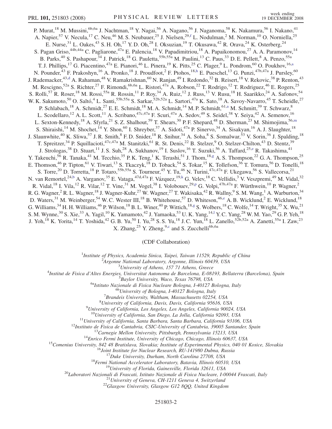<span id="page-1-0"></span>P. Murat,<sup>18</sup> M. Mussini,<sup>6b,6a</sup> J. Nachtman,<sup>18</sup> Y. Nagai,<sup>56</sup> A. Nagano,<sup>56</sup> J. Naganoma,<sup>58</sup> K. Nakamura,<sup>56</sup> I. Nakano,<sup>41</sup> A. Napier,<sup>57</sup> V. Necula,<sup>17</sup> C. Neu,<sup>46</sup> M. S. Neubauer,<sup>25</sup> J. Nielsen,<sup>29,[f](#page-5-0)</sup> L. Nodulman,<sup>2</sup> M. Norman,<sup>10</sup> O. Norniella,<sup>25</sup> E. Nurse,  $31$  L. Oakes,  $43$  S. H. Oh,  $17$  Y. D. Oh,  $28$  I. Oksuzian,  $19$  T. Okusawa,  $42$  R. Orava,  $24$  K. Osterberg,  $24$ S. Pagan Griso,<sup>44b,44a</sup> C. Pagliarone,<sup>47a</sup> E. Palencia,<sup>18</sup> V. Papadimitriou,<sup>18</sup> A. Papaikonomou,<sup>27</sup> A. A. Paramonov,<sup>14</sup> B. Parks,<sup>40</sup> S. Pashapour,<sup>34</sup> J. Patrick,<sup>18</sup> G. Pauletta,<sup>55b,55a</sup> M. Paulini,<sup>13</sup> C. Paus,<sup>33</sup> D. E. Pellett,<sup>8</sup> A. Penzo,<sup>55a</sup> T. J. Phillips,<sup>17</sup> G. Piacentino,<sup>47a</sup> E. Pianori,<sup>46</sup> L. Pinera,<sup>19</sup> K. Pitts,<sup>25</sup> C. Plager,<sup>9</sup> L. Pondrom,<sup>60</sup> O. Poukhov,<sup>16[,a](#page-5-0)</sup> N. Pounder,<sup>43</sup> F. Prakoshyn,<sup>16</sup> A. Pronko,<sup>18</sup> J. Proudfoot,<sup>2</sup> F. Ptohos,<sup>18[,h](#page-5-0)</sup> E. Pueschel,<sup>13</sup> G. Punzi,<sup>47b,47a</sup> J. Pursley,<sup>60</sup> J. Ra[d](#page-5-0)emacker,<sup>43,d</sup> A. Rahaman,<sup>48</sup> V. Ramakrishnan,<sup>60</sup> N. Ranjan,<sup>49</sup> I. Redondo,<sup>32</sup> B. Reisert,<sup>18</sup> V. Rekovic,<sup>38</sup> P. Renton,<sup>43</sup> M. Rescigno,<sup>52a</sup> S. Richter,<sup>27</sup> F. Rimondi,<sup>6b,6a</sup> L. Ristori,<sup>47a</sup> A. Robson,<sup>22</sup> T. Rodrigo,<sup>12</sup> T. Rodriguez,<sup>46</sup> E. Rogers,<sup>25</sup> S. Rolli,<sup>57</sup> R. Roser,<sup>18</sup> M. Rossi,<sup>55a</sup> R. Rossin,<sup>11</sup> P. Roy,<sup>34</sup> A. Ruiz,<sup>12</sup> J. Russ,<sup>13</sup> V. Rusu,<sup>18</sup> H. Saarikko,<sup>24</sup> A. Safonov,<sup>54</sup> W. K. Sakumoto,<sup>50</sup> O. Saltó,<sup>4</sup> L. Santi,<sup>55b,55a</sup> S. Sarkar,<sup>52b,52a</sup> L. Sartori,<sup>47a</sup> K. Sato,<sup>18</sup> A. Savoy-Navarro,<sup>45</sup> T. Scheidle,<sup>27</sup> P. Schlabach,<sup>18</sup> A. Schmidt,<sup>27</sup> E. E. Schmidt,<sup>18</sup> M. A. Schmidt,<sup>14</sup> M. P. Schmidt,<sup>61[,a](#page-5-0)</sup> M. Schmitt,<sup>39</sup> T. Schwarz,<sup>8</sup> L. Scodellaro,<sup>12</sup> A. L. Scott,<sup>11</sup> A. Scribano,<sup>47c,47a</sup> F. Scuri,<sup>47a</sup> A. Sedov,<sup>49</sup> S. Seidel,<sup>38</sup> Y. Seiya,<sup>42</sup> A. Semenov,<sup>16</sup> L. Sexton-Kennedy,<sup>18</sup> A. Sfyrla,<sup>21</sup> S. Z. Shalhout,<sup>59</sup> T. Shears,<sup>30</sup> P. F. Shepard,<sup>48</sup> D. Sher[m](#page-5-0)an,<sup>23</sup> M. Shimojima,<sup>56,m</sup> S. Shiraishi,<sup>14</sup> M. Shochet,<sup>14</sup> Y. Shon,<sup>60</sup> I. Shreyber,<sup>37</sup> A. Sidoti,<sup>47a</sup> P. Sinervo,<sup>34</sup> A. Sisakyan,<sup>16</sup> A. J. Slaughter,<sup>18</sup> J. Slaunwhite,<sup>40</sup> K. Sliwa,<sup>57</sup> J. R. Smith,<sup>8</sup> F. D. Snider,<sup>18</sup> R. Snihur,<sup>34</sup> A. Soha,<sup>8</sup> S. Somalwar,<sup>53</sup> V. Sorin,<sup>36</sup> J. Spalding,<sup>18</sup> T. Spreitzer,<sup>34</sup> P. Squillacioti,<sup>47c,47a</sup> M. Stanitzki,<sup>61</sup> R. St. Denis,<sup>22</sup> B. Stelzer,<sup>9</sup> O. Stelzer-Chilton,<sup>43</sup> D. Stentz,<sup>39</sup> J. Strologas,<sup>38</sup> D. Stuart,<sup>11</sup> J. S. Suh,<sup>28</sup> A. Sukhanov,<sup>19</sup> I. Suslov,<sup>16</sup> T. Suzuki,<sup>56</sup> A. Taffard,<sup>25[,e](#page-5-0)</sup> R. Takashima,<sup>41</sup> Y. Takeuchi,<sup>56</sup> R. Tanaka,<sup>41</sup> M. Tecchio,<sup>35</sup> P. K. Teng,<sup>1</sup> K. Terashi,<sup>51</sup> J. Thom,<sup>18[,g](#page-5-0)</sup> A. S. Thompson,<sup>22</sup> G. A. Thompson,<sup>25</sup> E. Thomson,<sup>46</sup> P. Tipton,<sup>61</sup> V. Tiwari,<sup>13</sup> S. Tkaczyk,<sup>18</sup> D. Toback,<sup>54</sup> S. Tokar,<sup>15</sup> K. Tollefson,<sup>36</sup> T. Tomura,<sup>56</sup> D. Tonelli,<sup>18</sup> S. Torre,<sup>20</sup> D. Torretta,<sup>18</sup> P. Totaro,<sup>55b,55a</sup> S. Tourneur,<sup>45</sup> Y. Tu,<sup>46</sup> N. Turini,<sup>47c,47a</sup> F. Ukegawa,<sup>56</sup> S. Vallecorsa,<sup>21</sup> N. van Remortel,<sup>24,[b](#page-5-0)</sup> A. Varganov,<sup>35</sup> E. Vataga,<sup>47d,47a</sup> F. Vázquez,<sup>19[,k](#page-5-0)</sup> G. Velev,<sup>18</sup> C. Vellidis,<sup>3</sup> V. Veszpremi,<sup>49</sup> M. Vidal,<sup>32</sup> R. Vidal,<su[p](#page-6-0)>18</sup> I. Vila,<sup>12</sup> R. Vilar,<sup>12</sup> T. Vine,<sup>31</sup> M. Vogel,<sup>38</sup> I. Volobouev,<sup>29,p</sup> G. Volpi,<sup>47b,47a</sup> F. Würthwein,<sup>10</sup> P. Wagner,<sup>2</sup> R. G. Wagner,<sup>2</sup> R. L. Wagner,<sup>18</sup> J. Wagner-Kuhr,<sup>27</sup> W. Wagner,<sup>27</sup> T. Wakisaka,<sup>42</sup> R. Wallny,<sup>9</sup> S. M. Wang,<sup>1</sup> A. Warburton,<sup>34</sup> D. Waters,<sup>31</sup> M. Weinberger,<sup>54</sup> W. C. Wester III,<sup>18</sup> B. Whitehouse,<sup>57</sup> D. Whiteson,<sup>46[,e](#page-5-0)</sup> A. B. Wicklund,<sup>2</sup> E. Wicklund,<sup>18</sup> G. Williams, <sup>34</sup> H. H. Williams, <sup>46</sup> P. Wilson, <sup>18</sup> B. L. Winer, <sup>40</sup> P. Wittich, <sup>18,[g](#page-5-0)</sup> S. Wolbers, <sup>18</sup> C. Wolfe, <sup>14</sup> T. Wright, <sup>35</sup> X. Wu, <sup>21</sup> S. M. Wynne,<sup>30</sup> S. Xie,<sup>33</sup> A. Yagi[l](#page-5-0),<sup>10</sup> K. Yamamoto,<sup>42</sup> J. Yamaoka,<sup>53</sup> U.K. Yang,<sup>14,1</sup> Y.C. Yang,<sup>28</sup> W.M. Yao,<sup>29</sup> G.P. Yeh,<sup>18</sup> J. Yoh,<sup>18</sup> K. Yorita,<sup>14</sup> T. Yoshida,<sup>42</sup> G. B. Yu,<sup>50</sup> I. Yu,<sup>28</sup> S. S. Yu,<sup>18</sup> J. C. Yun,<sup>18</sup> L. Zanello,<sup>52b,52a</sup> A. Zanetti,<sup>55a</sup> I. Zaw,<sup>23</sup> X. Zhang,<sup>25</sup> Y. Zheng,<sup>9,[c](#page-5-0)</sup> and S. Zucchelli<sup>6b,6a</sup>

(CDF Collaboration)

<sup>1</sup>Institute of Physics, Academia Sinica, Taipei, Taiwan 11529, Republic of China<br><sup>2</sup>Argonna National Laboratory, Argonna Illinois 60430, USA

 $A$ rgonne National Laboratory, Argonne, Illinois 60439, USA<br> $3$ University of Athens, 157 71 Athens, Greece

<sup>5</sup> University of Athens, 157 71 Athens, Greece  $\frac{3}{4}$  University of Athens, 157 71 Athens, Greece

Institut de Fisica d'Altes Energies, Universitat Autonoma de Barcelona, E-08193, Bellaterra (Barcelona), Spain <sup>5</sup>

 $^{5}$ Baylor University, Waco, Texas 76798, USA<br><sup>6a</sup>Istituto Nazionale di Fisica Nucleare Bologna, I-40127 Bologna, Italy <sup>6b</sup>University of Bologna, I-40127 Bologna, Italy

 ${}^{7}$ Brandeis University, Waltham, Massachusetts 02254, USA

 ${}^{8}$ University of California, Davis, Davis, California 95616, USA

 $^{9}$ University of California, Los Angeles, Los Angeles, California 90024, USA

 $^{10}$ University of California, San Diego, La Jolla, California 92093, USA<br>  $^{11}$ University of California, Santa Barbara, Santa Barbara, California 93106, USA<br>  $^{12}$ Instituto de Fisica de Cantabria, CSIC-University of C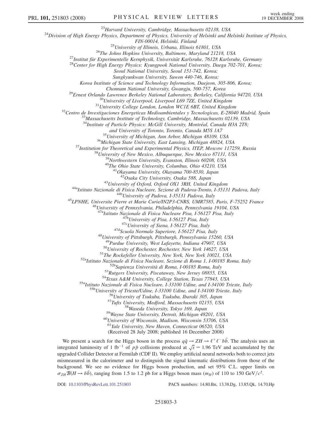<sup>23</sup>Harvard University, Cambridge, Massachusetts 02138, USA<br><sup>24</sup>Division of High Energy Physics, Department of Physics, University of Helsinki and Helsinki Institute of Physics,

FIN-00014, Helsinki, Finland<br><sup>25</sup>University of Illinois, Urbana, Illinois 61801, USA<br><sup>26</sup>The Johns Hopkins University, Baltimore, Maryland 21218, USA<br><sup>27</sup>Institut für Experimentelle Kernphysik, Universität Karlsruhe, 76128

Seoul National University, Seoul 151-742, Korea;

Sungkyunkwan University, Suwon 440-746, Korea;

Korea Institute of Science and Technology Information, Daejeon, 305-806, Korea;

<sup>29</sup>Ernest Orlando Lawrence Berkeley National Laboratory, Berkeley, California 94720, USA<br><sup>30</sup>University of Liverpool, Liverpool L69 7ZE, United Kingdom<br><sup>31</sup>University College London, London WCIE 6BT, United Kingdom<br><sup>32</sup>C

 $34$ Institute of Particle Physics: McGill University, Montréal, Canada H3A 2T8;

and University of Toronto, Toronto, Canada M5S 1A7<br><sup>35</sup>University of Michigan, Ann Arbor, Michigan 48109, USA<br><sup>36</sup>Michigan State University, East Lansing, Michigan 48824, USA<br><sup>37</sup>Institution for Theoretical and Experimenta

<sup>43</sup>University of Oxford, Oxford OX1 3RH, United Kingdom<br><sup>44a</sup>Istituto Nazionale di Fisica Nucleare, Sezione di Padova-Trento, I-35131 Padova, Italy<br><sup>44b</sup>University of Padova, I-35131 Padova, Italy<br><sup>45</sup>LPNHE, Universite P

<sup>47a</sup>Istituto Nazionale di Fisica Nucleare Pisa, I-56127 Pisa, Italy<br><sup>47b</sup>University of Pisa, I-56127 Pisa, Italy<br><sup>47c</sup>University of Siena, I-56127 Pisa, Italy<br><sup>47d</sup>Scuola Normale Superiore, I-56127 Pisa, Italy<br><sup>48</sup>Univer

<sup>49</sup>Purdue University, West Lafayette, Indiana 47907, USA<br><sup>50</sup>University of Rochester, Rochester, New York 14627, USA<br><sup>51</sup>The Rockefeller University, New York, New York 10021, USA<br><sup>52a</sup>Istituto Nazionale di Fisica Nuclear

 $^{60}$ University of Wisconsin, Madison, Wisconsin 53706, USA<br> $^{61}$ Yale University, New Haven, Connecticut 06520, USA

(Received 28 July 2008; published 16 December 2008)

We present a search for the Higgs boson in the process  $q\bar{q} \to ZH \to \ell^+ \ell^- b\bar{b}$ . The analysis uses an integrated luminosity of 1 fb<sup>-1</sup> of  $p\bar{p}$  collisions produced at  $\sqrt{s}$  = 1.96 TeV and accumulated by the upgraded Collider Detector at Fermilab (CDF II). We employ artificial neural networks both to correct jets mismeasured in the calorimeter and to distinguish the signal kinematic distributions from those of the background. We see no evidence for Higgs boson production, and set 95% C.L. upper limits on  $\sigma_{ZH}B(H \to b\bar{b})$ , ranging from 1.5 to 1.2 pb for a Higgs boson mass  $(m_H)$  of 110 to 150 GeV/ $c^2$ .

DOI: [10.1103/PhysRevLett.101.251803](http://dx.doi.org/10.1103/PhysRevLett.101.251803) PACS numbers: 14.80.Bn, 13.38.Dg, 13.85.Qk, 14.70.Hp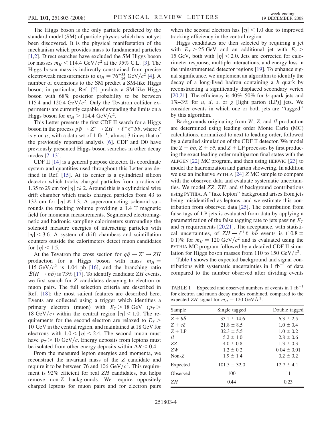The Higgs boson is the only particle predicted by the standard model (SM) of particle physics which has not yet been discovered. It is the physical manifestation of the mechanism which provides mass to fundamental particles [\[1,2](#page-6-0)]. Direct searches have excluded the SM Higgs boson for masses  $m_H < 114.4 \text{ GeV}/c^2$  at the 95% C.L. [\[3\]](#page-6-0). The Higgs boson mass is indirectly constrained from precise electroweak measurements to  $m_H = 76^{+33}_{-24}$  GeV/ $c^2$  [[4\]](#page-6-0). A number of extensions to the SM predict a SM-like Higgs boson; in particular, Ref. [\[5\]](#page-6-0) predicts a SM-like Higgs boson with 68% posterior probability to be between 115.4 and 120.4 GeV/ $c^2$ . Only the Tevatron collider experiments are currently capable of extending the limits on a Higgs boson for  $m_H > 114.4 \text{ GeV}/c^2$ .

This Letter presents the first CDF II search for a Higgs boson in the process  $p\bar{p} \to Z^* \to ZH \to \ell^+ \ell^- b\bar{b}$ , where  $\ell$ is *e* or  $\mu$ , with a data set of 1 fb<sup>-1</sup>, almost 3 times that of the previously reported analysis [[6\]](#page-6-0). CDF and D0 have previously presented Higgs boson searches in other decay modes [[7–13\]](#page-6-0).

CDF II [\[14\]](#page-6-0) is a general purpose detector. Its coordinate system and quantities used throughout this Letter are defined in Ref. [[15\]](#page-6-0). At its center is a cylindrical silicon detector which tracks charged particles from a radius of 1.35 to 29 cm for  $|\eta| \le 2$ . Around this is a cylindrical wire drift chamber which tracks charged particles from 43 to 132 cm for  $|\eta| \le 1.3$ . A superconducting solenoid surrounds the tracking volume providing a 1.4 T magnetic field for momenta measurements. Segmented electromagnetic and hadronic sampling calorimeters surrounding the solenoid measure energies of interacting particles with  $|\eta|$  < 3.6. A system of drift chambers and scintillation counters outside the calorimeters detect muon candidates for  $|\eta|$  < 1.5.

At the Tevatron the cross section for  $q\bar{q} \rightarrow Z^* \rightarrow ZH$ production for a Higgs boson with mass  $m_H =$ 115 GeV/ $c^2$  is 1.04 pb [[16](#page-6-0)], and the branching ratio  $\mathcal{B}(H \to b\bar{b})$  is 73% [\[17\]](#page-6-0). To identify candidate ZH events, we first search for Z candidates decaying to electron or muon pairs. The full selection criteria are described in Ref. [\[18\]](#page-6-0); the most salient features are described here. Events are collected using a trigger which identifies a primary electron (muon) with  $E_T > 18$  GeV ( $p_T >$ 18 GeV/c) within the central region  $|\eta|$  < 1.0. The requirements for the second electron are relaxed to  $E_T$ 10 GeV in the central region, and maintained at 18 GeV for electrons with  $1.0 < |\eta| < 2.4$ . The second muon must have  $p_T > 10 \text{ GeV}/c$ . Energy deposits from leptons must be isolated from other energy deposits within  $\Delta R < 0.4$ .

From the measured lepton energies and momenta, we reconstruct the invariant mass of the Z candidate and require it to be between 76 and 106 GeV/ $c^2$ . This requirement is 92% efficient for real ZH candidates, but helps remove non-Z backgrounds. We require oppositely charged leptons for muon pairs and for electron pairs when the second electron has  $|\eta|$  < 1.0 due to improved tracking efficiency in the central region.

Higgs candidates are then selected by requiring a jet with  $E_T > 25$  GeV and an additional jet with  $E_T >$ 15 GeV, both with  $|\eta|$  < 2.0. Jets are corrected for calorimeter response, multiple interactions, and energy loss in the uninstrumented detector regions [\[19\]](#page-6-0). To enhance signal significance, we implement an algorithm to identify the decay of a long-lived hadron containing a b quark by reconstructing a significantly displaced secondary vertex [\[20,21\]](#page-6-0). The efficiency is  $40\% - 50\%$  for b-quark jets and  $1\% - 3\%$  for u, d, s, or g [light parton (LP)] jets. We consider events in which one or both jets are ''tagged'' by this algorithm.

Backgrounds originating from  $W$ , Z, and  $t\bar{t}$  production are determined using leading order Monte Carlo (MC) calculations, normalized to next to leading order, followed by a detailed simulation of the CDF II detector. We model the  $Z + bb$ ,  $Z + c\bar{c}$ , and  $Z + LP$  processes by first producing the exact leading order multiparton final states with the ALPGEN [\[22\]](#page-6-0) MC program, and then using HERWIG [\[23](#page-6-0)] to model the hadronization and parton showering. In addition we use an inclusive PYTHIA [[24](#page-6-0)] Z MC sample to compare with the observed data and evaluate systematic uncertainties. We model  $ZZ$ ,  $ZW$ , and  $t\bar{t}$  background contributions using PYTHIA. A ''fake lepton'' background arises from jets being misidentified as leptons, and we estimate this contribution from observed data [[25](#page-6-0)]. The contribution from false tags of LP jets is evaluated from data by applying a parametrization of the false tagging rate to jets passing  $E<sub>T</sub>$ and  $\eta$  requirements [\[20,21\]](#page-6-0). The acceptance, with statistical uncertainties, of  $ZH \rightarrow \ell^+\ell^- b\bar{b}$  events is  $(10.8 \pm$ 0.1)% for  $m_H = 120 \text{ GeV}/c^2$  and is evaluated using the PYTHIA MC program followed by a detailed CDF II simulation for Higgs boson masses from 110 to 150 GeV/ $c^2$ .

Table I shows the expected background and signal contributions with systematic uncertainties in 1 fb<sup>-1</sup> of data compared to the number observed after dividing events

TABLE I. Expected and observed numbers of events in  $1$  fb<sup>-1</sup> for electron and muon decay modes combined, compared to the expected ZH signal for  $m_H = 120$  GeV/ $c^2$ .

| expected $E_{II}$ signal for $m_H$ and $E_0$ over $E_1$ . |                  |                 |  |
|-----------------------------------------------------------|------------------|-----------------|--|
| Sample                                                    | Single tagged    | Double tagged   |  |
| $Z + b\overline{b}$                                       | $35.1 \pm 14.6$  | $6.3 \pm 2.5$   |  |
| $Z + c\bar{c}$                                            | $21.8 \pm 8.5$   | $1.0 \pm 0.4$   |  |
| $Z + LP$                                                  | $32.3 \pm 5.5$   | $1.0 \pm 0.2$   |  |
| $t\bar{t}$                                                | $5.2 \pm 1.0$    | $2.8 \pm 0.6$   |  |
| ZZ.                                                       | $4.0 \pm 0.8$    | $1.3 \pm 0.3$   |  |
| ZW                                                        | $1.2 \pm 0.2$    | $0.04 \pm 0.01$ |  |
| $Non-Z$                                                   | $1.9 \pm 1.4$    | $0.2 \pm 0.2$   |  |
| Expected                                                  | $101.5 \pm 32.0$ | $12.7 \pm 4.1$  |  |
| Observed                                                  | 100              | 11              |  |
| ZΗ                                                        | 0.44             | 0.23            |  |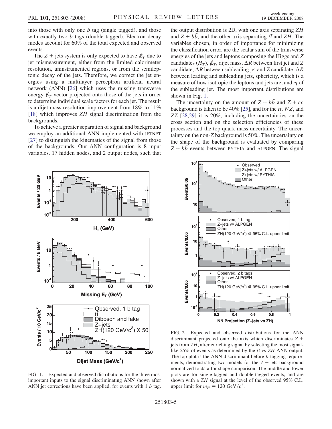<span id="page-4-0"></span>into those with only one  $b$  tag (single tagged), and those with exactly two  $b$  tags (double tagged). Electron decay modes account for 60% of the total expected and observed events.

The Z + jets system is only expected to have  $E_T$  due to jet mismeasurement, either from the limited calorimeter resolution, uninstrumented regions, or from the semileptonic decay of the jets. Therefore, we correct the jet energies using a multilayer perceptron artificial neural network (ANN) [[26](#page-6-0)] which uses the missing transverse energy  $\not{E}_T$  vector projected onto those of the jets in order to determine individual scale factors for each jet. The result is a dijet mass resolution improvement from 18% to 11% [\[18\]](#page-6-0) which improves *ZH* signal discrimination from the backgrounds.

To achieve a greater separation of signal and background we employ an additional ANN implemented with JETNET [\[27\]](#page-6-0) to distinguish the kinematics of the signal from those of the backgrounds. Our ANN configuration is 8 input variables, 17 hidden nodes, and 2 output nodes, such that the output distribution is 2D, with one axis separating ZH and  $Z + b\bar{b}$ , and the other axis separating  $t\bar{t}$  and  $ZH$ . The variables chosen, in order of importance for minimizing the classification error, are the scalar sum of the transverse energies of the jets and leptons composing the Higgs and Z candidates  $(H_T)$ ,  $\not{\!\mathcal{L}}_T$ , dijet mass,  $\Delta R$  between first jet and Z candidate,  $\Delta R$  between subleading jet and Z candidate,  $\Delta R$ between leading and subleading jets, sphericity, which is a measure of how isotropic the leptons and jets are, and  $\eta$  of the subleading jet. The most important distributions are shown in Fig. 1.

The uncertainty on the amount of  $Z + b\bar{b}$  and  $Z + c\bar{c}$ background is taken to be 40% [\[25\]](#page-6-0), and for the  $t\bar{t}$ , WZ, and ZZ [[28](#page-6-0),[29](#page-6-0)] it is 20%, including the uncertainties on the cross section and on the selection efficiencies of these processes and the top quark mass uncertainty. The uncertainty on the non-Z background is 50%. The uncertainty on the shape of the background is evaluated by comparing  $Z + b\bar{b}$  events between PYTHIA and ALPGEN. The signal



FIG. 1. Expected and observed distributions for the three most important inputs to the signal discriminating ANN shown after ANN jet corrections have been applied, for events with 1 b tag.



FIG. 2. Expected and observed distributions for the ANN discriminant projected onto the axis which discriminates  $Z +$ jets from ZH, after enriching signal by selecting the most signallike 25% of events as determined by the  $t\bar{t}$  vs ZH ANN output. The top plot is the ANN discriminant before *b*-tagging requirements, demonstrating two models for the  $Z +$  jets background normalized to data for shape comparison. The middle and lower plots are for single-tagged and double-tagged events, and are shown with a ZH signal at the level of the observed 95% C.L. upper limit for  $m_H = 120 \text{ GeV}/c^2$ .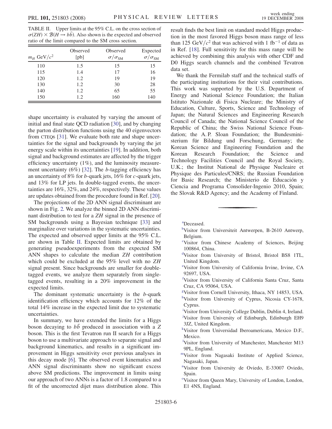<span id="page-5-0"></span>TABLE II. Upper limits at the 95% C.L. on the cross section of  $\sigma(ZH) \times \mathcal{B}(H \to b\bar{b})$ . Also shown is the expected and observed ratio of the limit compared to the SM cross section.

| $m_H$ GeV/ $c^2$ | Observed<br>[pb] | Observed<br>$\sigma/\sigma_{\rm SM}$ | Expected<br>$\sigma/\sigma_{\rm SM}$ |
|------------------|------------------|--------------------------------------|--------------------------------------|
| 110              | 1.5              | 15                                   | 15                                   |
| 115              | 1.4              | 17                                   | 16                                   |
| 120              | 1.2              | 19                                   | 19                                   |
| 130              | 1.2              | 30                                   | 28                                   |
| 140              | 1.2              | 65                                   | 55                                   |
| 150              | 1.2              | 160                                  | 140                                  |

shape uncertainty is evaluated by varying the amount of initial and final state QCD radiation [\[30\]](#page-6-0), and by changing the parton distribution functions using the 40 eigenvectors from CTEQ6 [[31\]](#page-6-0). We evaluate both rate and shape uncertainties for the signal and backgrounds by varying the jet energy scale within its uncertainties [\[19\]](#page-6-0). In addition, both signal and background estimates are affected by the trigger efficiency uncertainty (1%), and the luminosity measurement uncertainty  $(6\%)$  [[32](#page-6-0)]. The *b*-tagging efficiency has an uncertainty of 8% for b-quark jets, 16% for c-quark jets, and 13% for LP jets. In double-tagged events, the uncertainties are 16%, 32%, and 24%, respectively. These values are updates obtained from the procedure found in Ref. [[20\]](#page-6-0).

The projections of the 2D ANN signal discriminant are shown in Fig. [2.](#page-4-0) We analyze the binned 2D ANN discriminant distribution to test for a ZH signal in the presence of SM backgrounds using a Bayesian technique [[33](#page-6-0)] and marginalize over variations in the systematic uncertainties. The expected and observed upper limits at the 95% C.L. are shown in Table II. Expected limits are obtained by generating pseudoexperiments from the expected SM ANN shapes to calculate the median ZH contribution which could be excluded at the 95% level with no ZH signal present. Since backgrounds are smaller for doubletagged events, we analyze them separately from singletagged events, resulting in a 20% improvement in the expected limits.

The dominant systematic uncertainty is the  $b$ -quark identification efficiency which accounts for 12% of the total 14% increase in the expected limit due to systematic uncertainties.

In summary, we have extended the limits for a Higgs boson decaying to  $b\bar{b}$  produced in association with a Z boson. This is the first Tevatron run II search for a Higgs boson to use a multivariate approach to separate signal and background kinematics, and results in a significant improvement in Higgs sensitivity over previous analyses in this decay mode [[6\]](#page-6-0). The observed event kinematics and ANN signal discriminants show no significant excess above SM predictions. The improvement in limits using our approach of two ANNs is a factor of 1.8 compared to a fit of the uncorrected dijet mass distribution alone. This

result finds the best limit on standard model Higgs production in the most favored Higgs boson mass range of less than 125 GeV/ $c^2$  that was achieved with 1 fb<sup>-1</sup> of data as in Ref. [[18](#page-6-0)]. Full sensitivity for this mass range will be achieved by combining this analysis with other CDF and D0 Higgs search channels and the combined Tevatron data set.

We thank the Fermilab staff and the technical staffs of the participating institutions for their vital contributions. This work was supported by the U.S. Department of Energy and National Science Foundation; the Italian Istituto Nazionale di Fisica Nucleare; the Ministry of Education, Culture, Sports, Science and Technology of Japan; the Natural Sciences and Engineering Research Council of Canada; the National Science Council of the Republic of China; the Swiss National Science Foundation; the A. P. Sloan Foundation; the Bundesministerium für Bildung und Forschung, Germany; the Korean Science and Engineering Foundation and the Korean Research Foundation; the Science and Technology Facilities Council and the Royal Society, U.K.; the Institut National de Physique Nucleaire et Physique des Particules/CNRS; the Russian Foundation for Basic Research; the Ministerio de Educación y Ciencia and Programa Consolider-Ingenio 2010, Spain; the Slovak R&D Agency; and the Academy of Finland.

[a](#page-1-0) Deceased.

- <sup>[b](#page-1-0)</sup>Visitor from Universiteit Antwerpen, B-2610 Antwerp, Belgium.
- [c](#page-1-0) Visitor from Chinese Academy of Sciences, Beijing 100864, China.
- [d](#page-0-0) Visitor from University of Bristol, Bristol BS8 1TL, United Kingdom.
- [e](#page-1-0) Visitor from University of California Irvine, Irvine, CA 92697, USA.
- [f](#page-1-0) Visitor from University of California Santa Cruz, Santa Cruz, CA 95064, USA.
- [g](#page-1-0) Visitor from Cornell University, Ithaca, NY 14853, USA. <sup>[h](#page-1-0)</sup>Visitor from University of Cyprus, Nicosia CY-1678, Cyprus.
- <sup>[i](#page-0-0)</sup>Visitor from University College Dublin, Dublin 4, Ireland. <sup>[j](#page-0-0)</sup>Visitor from University of Edinburgh, Edinburgh EH9 3JZ, United Kingdom.
- [k](#page-0-0) Visitor from Universidad Iberoamericana, Mexico D.F., Mexico.
- <sup>1</sup>Visitor from University of Manchester, Manchester M13 9PL, England.
- [mV](#page-1-0)isitor from Nagasaki Institute of Applied Science, Nagasaki, Japan.
- [n](#page-0-0) Visitor from University de Oviedo, E-33007 Oviedo, Spain.
- <sup>[o](#page-0-0)</sup>Visitor from Queen Mary, University of London, London, E1 4NS, England.